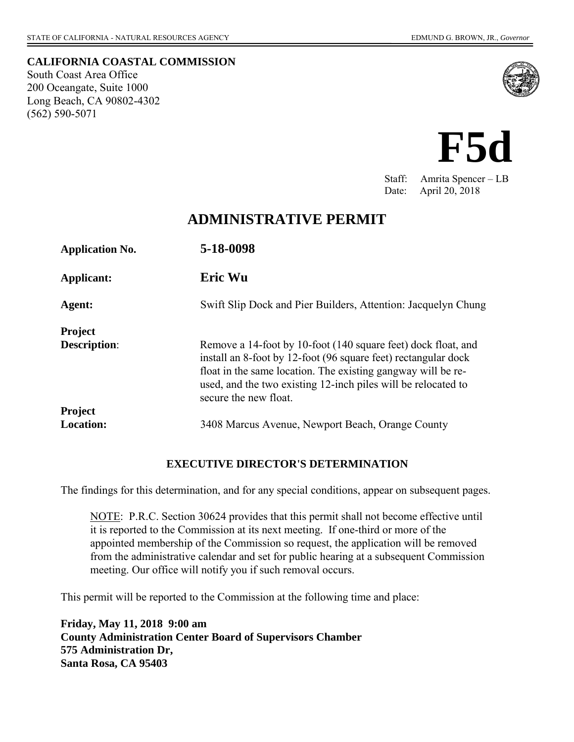**CALIFORNIA COASTAL COMMISSION**  South Coast Area Office 200 Oceangate, Suite 1000 Long Beach, CA 90802-4302 (562) 590-5071





Staff: Amrita Spencer – LB Date: April 20, 2018

## **ADMINISTRATIVE PERMIT**

| <b>Application No.</b> | 5-18-0098                                                                                                                                                                                                                                                                                 |
|------------------------|-------------------------------------------------------------------------------------------------------------------------------------------------------------------------------------------------------------------------------------------------------------------------------------------|
| Applicant:             | Eric Wu                                                                                                                                                                                                                                                                                   |
| Agent:                 | Swift Slip Dock and Pier Builders, Attention: Jacquelyn Chung                                                                                                                                                                                                                             |
| <b>Project</b>         |                                                                                                                                                                                                                                                                                           |
| <b>Description:</b>    | Remove a 14-foot by 10-foot (140 square feet) dock float, and<br>install an 8-foot by 12-foot (96 square feet) rectangular dock<br>float in the same location. The existing gangway will be re-<br>used, and the two existing 12-inch piles will be relocated to<br>secure the new float. |
| <b>Project</b>         |                                                                                                                                                                                                                                                                                           |
| <b>Location:</b>       | 3408 Marcus Avenue, Newport Beach, Orange County                                                                                                                                                                                                                                          |

### **EXECUTIVE DIRECTOR'S DETERMINATION**

The findings for this determination, and for any special conditions, appear on subsequent pages.

NOTE: P.R.C. Section 30624 provides that this permit shall not become effective until it is reported to the Commission at its next meeting. If one-third or more of the appointed membership of the Commission so request, the application will be removed from the administrative calendar and set for public hearing at a subsequent Commission meeting. Our office will notify you if such removal occurs.

This permit will be reported to the Commission at the following time and place:

**Friday, May 11, 2018 9:00 am County Administration Center Board of Supervisors Chamber 575 Administration Dr, Santa Rosa, CA 95403**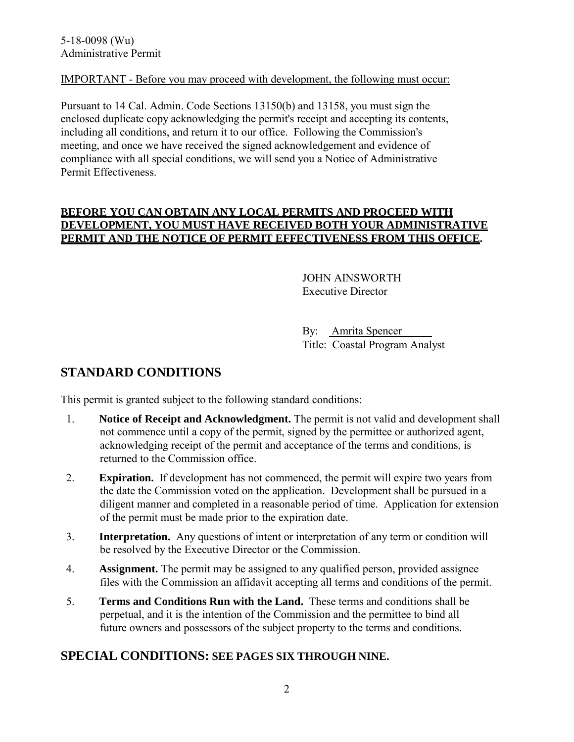### IMPORTANT - Before you may proceed with development, the following must occur:

Pursuant to 14 Cal. Admin. Code Sections 13150(b) and 13158, you must sign the enclosed duplicate copy acknowledging the permit's receipt and accepting its contents, including all conditions, and return it to our office. Following the Commission's meeting, and once we have received the signed acknowledgement and evidence of compliance with all special conditions, we will send you a Notice of Administrative Permit Effectiveness.

### **BEFORE YOU CAN OBTAIN ANY LOCAL PERMITS AND PROCEED WITH DEVELOPMENT, YOU MUST HAVE RECEIVED BOTH YOUR ADMINISTRATIVE PERMIT AND THE NOTICE OF PERMIT EFFECTIVENESS FROM THIS OFFICE.**

JOHN AINSWORTH Executive Director

By: Amrita Spencer Title: Coastal Program Analyst

# **STANDARD CONDITIONS**

This permit is granted subject to the following standard conditions:

- 1. **Notice of Receipt and Acknowledgment.** The permit is not valid and development shall not commence until a copy of the permit, signed by the permittee or authorized agent, acknowledging receipt of the permit and acceptance of the terms and conditions, is returned to the Commission office.
- 2. **Expiration.** If development has not commenced, the permit will expire two years from the date the Commission voted on the application. Development shall be pursued in a diligent manner and completed in a reasonable period of time. Application for extension of the permit must be made prior to the expiration date.
- 3. **Interpretation.** Any questions of intent or interpretation of any term or condition will be resolved by the Executive Director or the Commission.
- 4. **Assignment.** The permit may be assigned to any qualified person, provided assignee files with the Commission an affidavit accepting all terms and conditions of the permit.
- 5. **Terms and Conditions Run with the Land.** These terms and conditions shall be perpetual, and it is the intention of the Commission and the permittee to bind all future owners and possessors of the subject property to the terms and conditions.

### **SPECIAL CONDITIONS: SEE PAGES SIX THROUGH NINE.**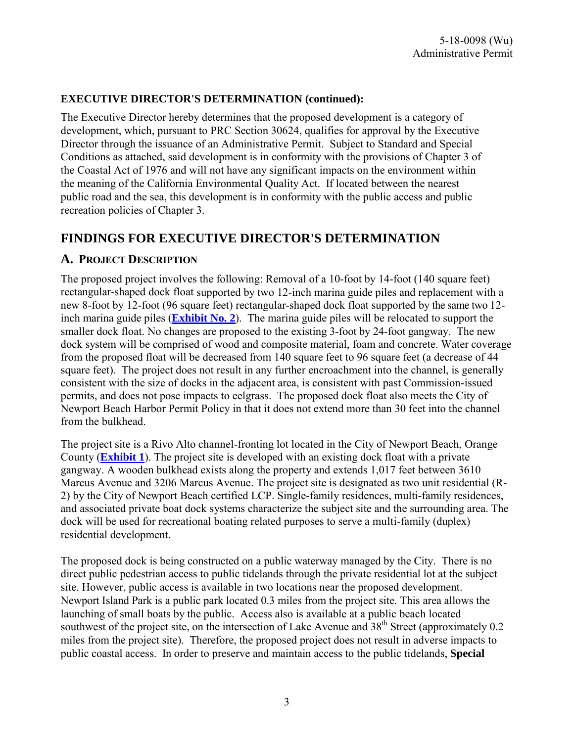### **EXECUTIVE DIRECTOR'S DETERMINATION (continued):**

The Executive Director hereby determines that the proposed development is a category of development, which, pursuant to PRC Section 30624, qualifies for approval by the Executive Director through the issuance of an Administrative Permit. Subject to Standard and Special Conditions as attached, said development is in conformity with the provisions of Chapter 3 of the Coastal Act of 1976 and will not have any significant impacts on the environment within the meaning of the California Environmental Quality Act. If located between the nearest public road and the sea, this development is in conformity with the public access and public recreation policies of Chapter 3.

## **FINDINGS FOR EXECUTIVE DIRECTOR'S DETERMINATION**

### **A. PROJECT DESCRIPTION**

The proposed project involves the following: Removal of a 10-foot by 14-foot (140 square feet) rectangular-shaped dock float supported by two 12-inch marina guide piles and replacement with a new 8-foot by 12-foot (96 square feet) rectangular-shaped dock float supported by the same two 12 inch marina guide piles (**[Exhibit No. 2](https://documents.coastal.ca.gov/reports/2018/5/f5d/f5d-5-2018-exhibits.pdf)**). The marina guide piles will be relocated to support the smaller dock float. No changes are proposed to the existing 3-foot by 24-foot gangway. The new dock system will be comprised of wood and composite material, foam and concrete. Water coverage from the proposed float will be decreased from 140 square feet to 96 square feet (a decrease of 44 square feet). The project does not result in any further encroachment into the channel, is generally consistent with the size of docks in the adjacent area, is consistent with past Commission-issued permits, and does not pose impacts to eelgrass. The proposed dock float also meets the City of Newport Beach Harbor Permit Policy in that it does not extend more than 30 feet into the channel from the bulkhead.

The project site is a Rivo Alto channel-fronting lot located in the City of Newport Beach, Orange County (**[Exhibit 1](https://documents.coastal.ca.gov/reports/2018/5/f5d/f5d-5-2018-exhibits.pdf)**). The project site is developed with an existing dock float with a private gangway. A wooden bulkhead exists along the property and extends 1,017 feet between 3610 Marcus Avenue and 3206 Marcus Avenue. The project site is designated as two unit residential (R-2) by the City of Newport Beach certified LCP. Single-family residences, multi-family residences, and associated private boat dock systems characterize the subject site and the surrounding area. The dock will be used for recreational boating related purposes to serve a multi-family (duplex) residential development.

The proposed dock is being constructed on a public waterway managed by the City. There is no direct public pedestrian access to public tidelands through the private residential lot at the subject site. However, public access is available in two locations near the proposed development. Newport Island Park is a public park located 0.3 miles from the project site. This area allows the launching of small boats by the public. Access also is available at a public beach located southwest of the project site, on the intersection of Lake Avenue and 38<sup>th</sup> Street (approximately 0.2 miles from the project site). Therefore, the proposed project does not result in adverse impacts to public coastal access. In order to preserve and maintain access to the public tidelands, **Special**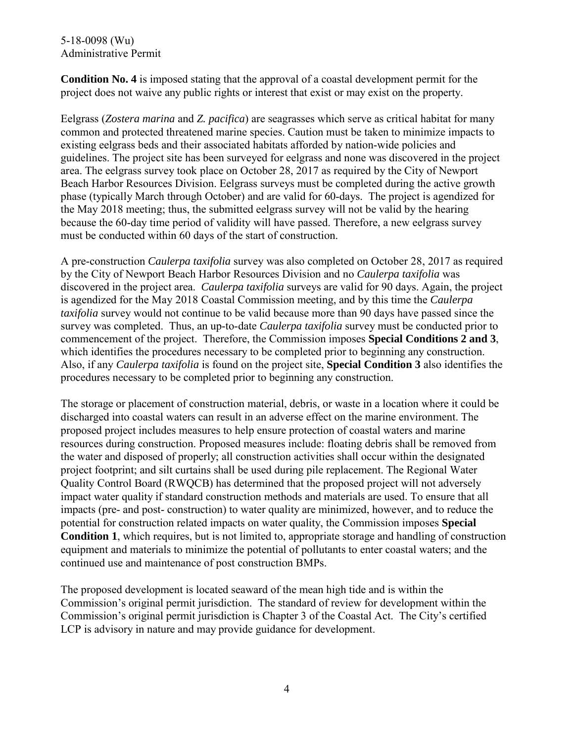#### 5-18-0098 (Wu) Administrative Permit

**Condition No. 4** is imposed stating that the approval of a coastal development permit for the project does not waive any public rights or interest that exist or may exist on the property.

Eelgrass (*Zostera marina* and *Z. pacifica*) are seagrasses which serve as critical habitat for many common and protected threatened marine species. Caution must be taken to minimize impacts to existing eelgrass beds and their associated habitats afforded by nation-wide policies and guidelines. The project site has been surveyed for eelgrass and none was discovered in the project area. The eelgrass survey took place on October 28, 2017 as required by the City of Newport Beach Harbor Resources Division. Eelgrass surveys must be completed during the active growth phase (typically March through October) and are valid for 60-days. The project is agendized for the May 2018 meeting; thus, the submitted eelgrass survey will not be valid by the hearing because the 60-day time period of validity will have passed. Therefore, a new eelgrass survey must be conducted within 60 days of the start of construction.

A pre-construction *Caulerpa taxifolia* survey was also completed on October 28, 2017 as required by the City of Newport Beach Harbor Resources Division and no *Caulerpa taxifolia* was discovered in the project area. *Caulerpa taxifolia* surveys are valid for 90 days. Again, the project is agendized for the May 2018 Coastal Commission meeting, and by this time the *Caulerpa taxifolia* survey would not continue to be valid because more than 90 days have passed since the survey was completed. Thus, an up-to-date *Caulerpa taxifolia* survey must be conducted prior to commencement of the project. Therefore, the Commission imposes **Special Conditions 2 and 3**, which identifies the procedures necessary to be completed prior to beginning any construction. Also, if any *Caulerpa taxifolia* is found on the project site, **Special Condition 3** also identifies the procedures necessary to be completed prior to beginning any construction.

The storage or placement of construction material, debris, or waste in a location where it could be discharged into coastal waters can result in an adverse effect on the marine environment. The proposed project includes measures to help ensure protection of coastal waters and marine resources during construction. Proposed measures include: floating debris shall be removed from the water and disposed of properly; all construction activities shall occur within the designated project footprint; and silt curtains shall be used during pile replacement. The Regional Water Quality Control Board (RWQCB) has determined that the proposed project will not adversely impact water quality if standard construction methods and materials are used. To ensure that all impacts (pre- and post- construction) to water quality are minimized, however, and to reduce the potential for construction related impacts on water quality, the Commission imposes **Special Condition 1**, which requires, but is not limited to, appropriate storage and handling of construction equipment and materials to minimize the potential of pollutants to enter coastal waters; and the continued use and maintenance of post construction BMPs.

The proposed development is located seaward of the mean high tide and is within the Commission's original permit jurisdiction. The standard of review for development within the Commission's original permit jurisdiction is Chapter 3 of the Coastal Act. The City's certified LCP is advisory in nature and may provide guidance for development.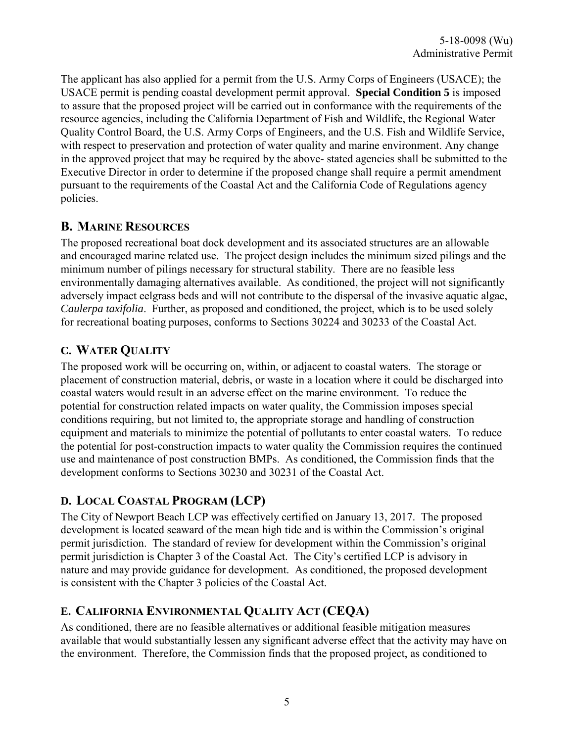The applicant has also applied for a permit from the U.S. Army Corps of Engineers (USACE); the USACE permit is pending coastal development permit approval. **Special Condition 5** is imposed to assure that the proposed project will be carried out in conformance with the requirements of the resource agencies, including the California Department of Fish and Wildlife, the Regional Water Quality Control Board, the U.S. Army Corps of Engineers, and the U.S. Fish and Wildlife Service, with respect to preservation and protection of water quality and marine environment. Any change in the approved project that may be required by the above- stated agencies shall be submitted to the Executive Director in order to determine if the proposed change shall require a permit amendment pursuant to the requirements of the Coastal Act and the California Code of Regulations agency policies.

## **B. MARINE RESOURCES**

The proposed recreational boat dock development and its associated structures are an allowable and encouraged marine related use. The project design includes the minimum sized pilings and the minimum number of pilings necessary for structural stability. There are no feasible less environmentally damaging alternatives available. As conditioned, the project will not significantly adversely impact eelgrass beds and will not contribute to the dispersal of the invasive aquatic algae, *Caulerpa taxifolia*. Further, as proposed and conditioned, the project, which is to be used solely for recreational boating purposes, conforms to Sections 30224 and 30233 of the Coastal Act.

# **C. WATER QUALITY**

The proposed work will be occurring on, within, or adjacent to coastal waters. The storage or placement of construction material, debris, or waste in a location where it could be discharged into coastal waters would result in an adverse effect on the marine environment. To reduce the potential for construction related impacts on water quality, the Commission imposes special conditions requiring, but not limited to, the appropriate storage and handling of construction equipment and materials to minimize the potential of pollutants to enter coastal waters. To reduce the potential for post-construction impacts to water quality the Commission requires the continued use and maintenance of post construction BMPs. As conditioned, the Commission finds that the development conforms to Sections 30230 and 30231 of the Coastal Act.

## **D. LOCAL COASTAL PROGRAM (LCP)**

The City of Newport Beach LCP was effectively certified on January 13, 2017. The proposed development is located seaward of the mean high tide and is within the Commission's original permit jurisdiction. The standard of review for development within the Commission's original permit jurisdiction is Chapter 3 of the Coastal Act. The City's certified LCP is advisory in nature and may provide guidance for development. As conditioned, the proposed development is consistent with the Chapter 3 policies of the Coastal Act.

## **E. CALIFORNIA ENVIRONMENTAL QUALITY ACT (CEQA)**

As conditioned, there are no feasible alternatives or additional feasible mitigation measures available that would substantially lessen any significant adverse effect that the activity may have on the environment. Therefore, the Commission finds that the proposed project, as conditioned to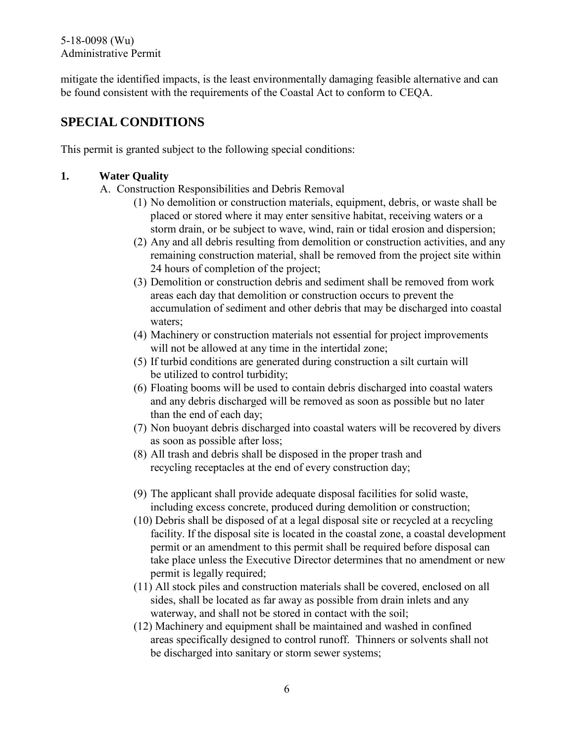#### 5-18-0098 (Wu) Administrative Permit

mitigate the identified impacts, is the least environmentally damaging feasible alternative and can be found consistent with the requirements of the Coastal Act to conform to CEQA.

# **SPECIAL CONDITIONS**

This permit is granted subject to the following special conditions:

### **1. Water Quality**

- A. Construction Responsibilities and Debris Removal
	- (1) No demolition or construction materials, equipment, debris, or waste shall be placed or stored where it may enter sensitive habitat, receiving waters or a storm drain, or be subject to wave, wind, rain or tidal erosion and dispersion;
	- (2) Any and all debris resulting from demolition or construction activities, and any remaining construction material, shall be removed from the project site within 24 hours of completion of the project;
	- (3) Demolition or construction debris and sediment shall be removed from work areas each day that demolition or construction occurs to prevent the accumulation of sediment and other debris that may be discharged into coastal waters;
	- (4) Machinery or construction materials not essential for project improvements will not be allowed at any time in the intertidal zone;
	- (5) If turbid conditions are generated during construction a silt curtain will be utilized to control turbidity;
	- (6) Floating booms will be used to contain debris discharged into coastal waters and any debris discharged will be removed as soon as possible but no later than the end of each day;
	- (7) Non buoyant debris discharged into coastal waters will be recovered by divers as soon as possible after loss;
	- (8) All trash and debris shall be disposed in the proper trash and recycling receptacles at the end of every construction day;
	- (9) The applicant shall provide adequate disposal facilities for solid waste, including excess concrete, produced during demolition or construction;
	- (10) Debris shall be disposed of at a legal disposal site or recycled at a recycling facility. If the disposal site is located in the coastal zone, a coastal development permit or an amendment to this permit shall be required before disposal can take place unless the Executive Director determines that no amendment or new permit is legally required;
	- (11) All stock piles and construction materials shall be covered, enclosed on all sides, shall be located as far away as possible from drain inlets and any waterway, and shall not be stored in contact with the soil;
	- (12) Machinery and equipment shall be maintained and washed in confined areas specifically designed to control runoff. Thinners or solvents shall not be discharged into sanitary or storm sewer systems;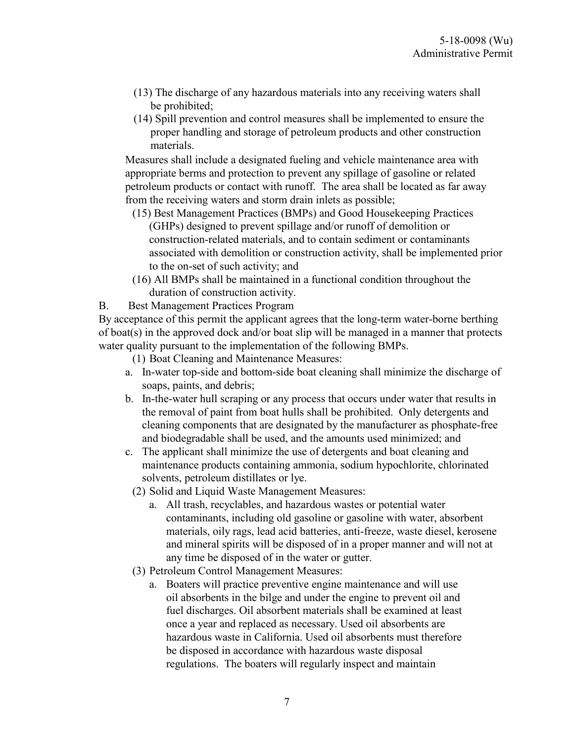- (13) The discharge of any hazardous materials into any receiving waters shall be prohibited;
- (14) Spill prevention and control measures shall be implemented to ensure the proper handling and storage of petroleum products and other construction materials.

Measures shall include a designated fueling and vehicle maintenance area with appropriate berms and protection to prevent any spillage of gasoline or related petroleum products or contact with runoff. The area shall be located as far away from the receiving waters and storm drain inlets as possible;

- (15) Best Management Practices (BMPs) and Good Housekeeping Practices (GHPs) designed to prevent spillage and/or runoff of demolition or construction-related materials, and to contain sediment or contaminants associated with demolition or construction activity, shall be implemented prior to the on-set of such activity; and
- (16) All BMPs shall be maintained in a functional condition throughout the duration of construction activity.

B. Best Management Practices Program

By acceptance of this permit the applicant agrees that the long-term water-borne berthing of boat(s) in the approved dock and/or boat slip will be managed in a manner that protects water quality pursuant to the implementation of the following BMPs.

- (1) Boat Cleaning and Maintenance Measures:
- a. In-water top-side and bottom-side boat cleaning shall minimize the discharge of soaps, paints, and debris;
- b. In-the-water hull scraping or any process that occurs under water that results in the removal of paint from boat hulls shall be prohibited. Only detergents and cleaning components that are designated by the manufacturer as phosphate-free and biodegradable shall be used, and the amounts used minimized; and
- c. The applicant shall minimize the use of detergents and boat cleaning and maintenance products containing ammonia, sodium hypochlorite, chlorinated solvents, petroleum distillates or lye.
	- (2) Solid and Liquid Waste Management Measures:
		- a. All trash, recyclables, and hazardous wastes or potential water contaminants, including old gasoline or gasoline with water, absorbent materials, oily rags, lead acid batteries, anti-freeze, waste diesel, kerosene and mineral spirits will be disposed of in a proper manner and will not at any time be disposed of in the water or gutter.
	- (3) Petroleum Control Management Measures:
		- a. Boaters will practice preventive engine maintenance and will use oil absorbents in the bilge and under the engine to prevent oil and fuel discharges. Oil absorbent materials shall be examined at least once a year and replaced as necessary. Used oil absorbents are hazardous waste in California. Used oil absorbents must therefore be disposed in accordance with hazardous waste disposal regulations. The boaters will regularly inspect and maintain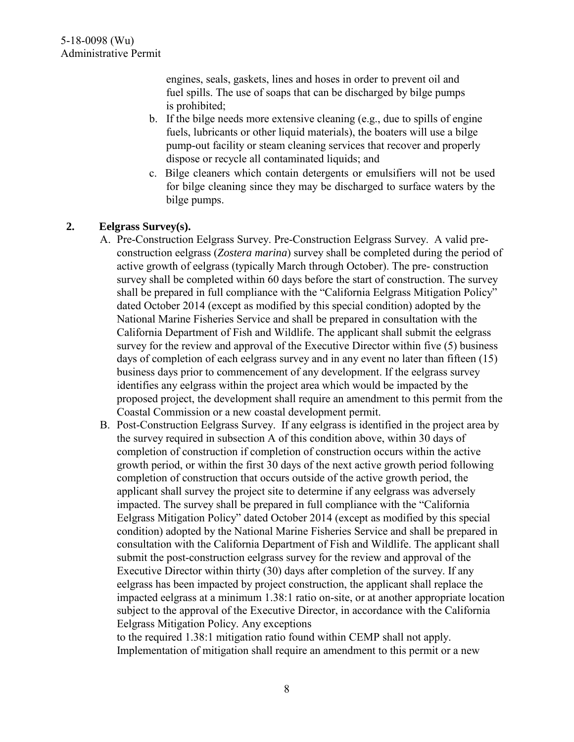engines, seals, gaskets, lines and hoses in order to prevent oil and fuel spills. The use of soaps that can be discharged by bilge pumps is prohibited;

- b. If the bilge needs more extensive cleaning (e.g., due to spills of engine fuels, lubricants or other liquid materials), the boaters will use a bilge pump-out facility or steam cleaning services that recover and properly dispose or recycle all contaminated liquids; and
- c. Bilge cleaners which contain detergents or emulsifiers will not be used for bilge cleaning since they may be discharged to surface waters by the bilge pumps.

### **2. Eelgrass Survey(s).**

- A. Pre-Construction Eelgrass Survey. Pre-Construction Eelgrass Survey. A valid preconstruction eelgrass (*Zostera marina*) survey shall be completed during the period of active growth of eelgrass (typically March through October). The pre- construction survey shall be completed within 60 days before the start of construction. The survey shall be prepared in full compliance with the "California Eelgrass Mitigation Policy" dated October 2014 (except as modified by this special condition) adopted by the National Marine Fisheries Service and shall be prepared in consultation with the California Department of Fish and Wildlife. The applicant shall submit the eelgrass survey for the review and approval of the Executive Director within five (5) business days of completion of each eelgrass survey and in any event no later than fifteen (15) business days prior to commencement of any development. If the eelgrass survey identifies any eelgrass within the project area which would be impacted by the proposed project, the development shall require an amendment to this permit from the Coastal Commission or a new coastal development permit.
- B. Post-Construction Eelgrass Survey. If any eelgrass is identified in the project area by the survey required in subsection A of this condition above, within 30 days of completion of construction if completion of construction occurs within the active growth period, or within the first 30 days of the next active growth period following completion of construction that occurs outside of the active growth period, the applicant shall survey the project site to determine if any eelgrass was adversely impacted. The survey shall be prepared in full compliance with the "California Eelgrass Mitigation Policy" dated October 2014 (except as modified by this special condition) adopted by the National Marine Fisheries Service and shall be prepared in consultation with the California Department of Fish and Wildlife. The applicant shall submit the post-construction eelgrass survey for the review and approval of the Executive Director within thirty (30) days after completion of the survey. If any eelgrass has been impacted by project construction, the applicant shall replace the impacted eelgrass at a minimum 1.38:1 ratio on-site, or at another appropriate location subject to the approval of the Executive Director, in accordance with the California Eelgrass Mitigation Policy. Any exceptions

to the required 1.38:1 mitigation ratio found within CEMP shall not apply. Implementation of mitigation shall require an amendment to this permit or a new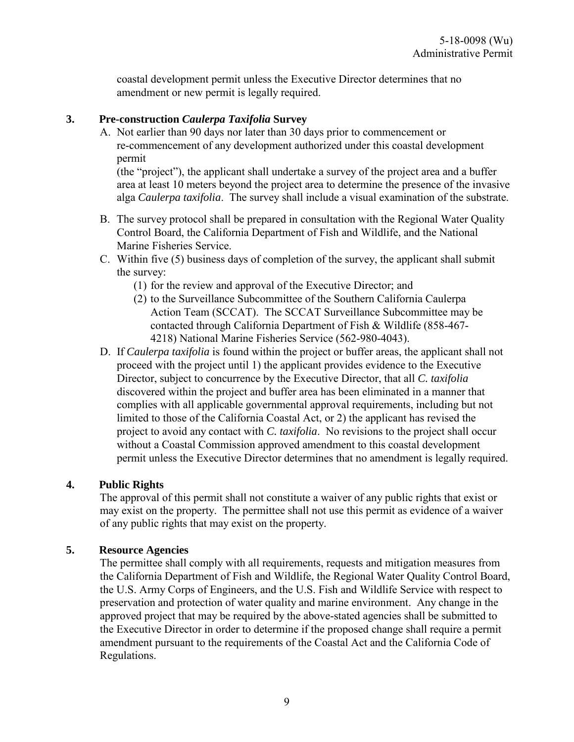coastal development permit unless the Executive Director determines that no amendment or new permit is legally required.

#### **3. Pre-construction** *Caulerpa Taxifolia* **Survey**

A. Not earlier than 90 days nor later than 30 days prior to commencement or re-commencement of any development authorized under this coastal development permit

(the "project"), the applicant shall undertake a survey of the project area and a buffer area at least 10 meters beyond the project area to determine the presence of the invasive alga *Caulerpa taxifolia*. The survey shall include a visual examination of the substrate.

- B. The survey protocol shall be prepared in consultation with the Regional Water Quality Control Board, the California Department of Fish and Wildlife, and the National Marine Fisheries Service.
- C. Within five (5) business days of completion of the survey, the applicant shall submit the survey:
	- (1) for the review and approval of the Executive Director; and
	- (2) to the Surveillance Subcommittee of the Southern California Caulerpa Action Team (SCCAT). The SCCAT Surveillance Subcommittee may be contacted through California Department of Fish & Wildlife (858-467- 4218) National Marine Fisheries Service (562-980-4043).
- D. If *Caulerpa taxifolia* is found within the project or buffer areas, the applicant shall not proceed with the project until 1) the applicant provides evidence to the Executive Director, subject to concurrence by the Executive Director, that all *C. taxifolia*  discovered within the project and buffer area has been eliminated in a manner that complies with all applicable governmental approval requirements, including but not limited to those of the California Coastal Act, or 2) the applicant has revised the project to avoid any contact with *C. taxifolia*. No revisions to the project shall occur without a Coastal Commission approved amendment to this coastal development permit unless the Executive Director determines that no amendment is legally required.

### **4. Public Rights**

The approval of this permit shall not constitute a waiver of any public rights that exist or may exist on the property. The permittee shall not use this permit as evidence of a waiver of any public rights that may exist on the property.

### **5. Resource Agencies**

The permittee shall comply with all requirements, requests and mitigation measures from the California Department of Fish and Wildlife, the Regional Water Quality Control Board, the U.S. Army Corps of Engineers, and the U.S. Fish and Wildlife Service with respect to preservation and protection of water quality and marine environment. Any change in the approved project that may be required by the above-stated agencies shall be submitted to the Executive Director in order to determine if the proposed change shall require a permit amendment pursuant to the requirements of the Coastal Act and the California Code of Regulations.